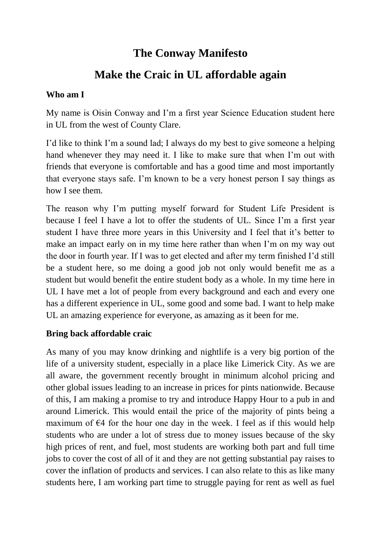# **The Conway Manifesto**

# **Make the Craic in UL affordable again**

### **Who am I**

My name is Oisin Conway and I'm a first year Science Education student here in UL from the west of County Clare.

I'd like to think I'm a sound lad; I always do my best to give someone a helping hand whenever they may need it. I like to make sure that when I'm out with friends that everyone is comfortable and has a good time and most importantly that everyone stays safe. I'm known to be a very honest person I say things as how I see them.

The reason why I'm putting myself forward for Student Life President is because I feel I have a lot to offer the students of UL. Since I'm a first year student I have three more years in this University and I feel that it's better to make an impact early on in my time here rather than when I'm on my way out the door in fourth year. If I was to get elected and after my term finished I'd still be a student here, so me doing a good job not only would benefit me as a student but would benefit the entire student body as a whole. In my time here in UL I have met a lot of people from every background and each and every one has a different experience in UL, some good and some bad. I want to help make UL an amazing experience for everyone, as amazing as it been for me.

### **Bring back affordable craic**

As many of you may know drinking and nightlife is a very big portion of the life of a university student, especially in a place like Limerick City. As we are all aware, the government recently brought in minimum alcohol pricing and other global issues leading to an increase in prices for pints nationwide. Because of this, I am making a promise to try and introduce Happy Hour to a pub in and around Limerick. This would entail the price of the majority of pints being a maximum of  $\epsilon$ 4 for the hour one day in the week. I feel as if this would help students who are under a lot of stress due to money issues because of the sky high prices of rent, and fuel, most students are working both part and full time jobs to cover the cost of all of it and they are not getting substantial pay raises to cover the inflation of products and services. I can also relate to this as like many students here, I am working part time to struggle paying for rent as well as fuel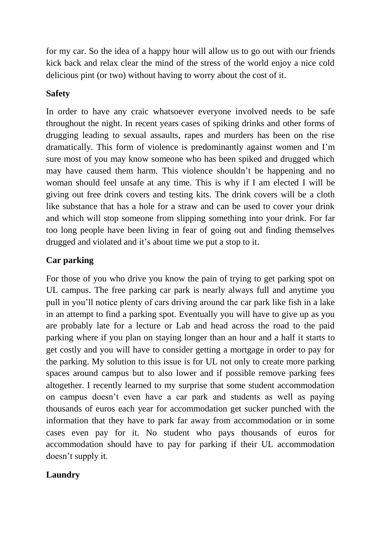for my car. So the idea of a happy hour will allow us to go out with our friends kick back and relax clear the mind of the stress of the world enjoy a nice cold delicious pint (or two) without having to worry about the cost of it.

## **Safety**

In order to have any craic whatsoever everyone involved needs to be safe throughout the night. In recent years cases of spiking drinks and other forms of drugging leading to sexual assaults, rapes and murders has been on the rise dramatically. This form of violence is predominantly against women and I'm sure most of you may know someone who has been spiked and drugged which may have caused them harm. This violence shouldn't be happening and no woman should feel unsafe at any time. This is why if I am elected I will be giving out free drink covers and testing kits. The drink covers will be a cloth like substance that has a hole for a straw and can be used to cover your drink and which will stop someone from slipping something into your drink. For far too long people have been living in fear of going out and finding themselves drugged and violated and it's about time we put a stop to it.

# **Car parking**

For those of you who drive you know the pain of trying to get parking spot on UL campus. The free parking car park is nearly always full and anytime you pull in you'll notice plenty of cars driving around the car park like fish in a lake in an attempt to find a parking spot. Eventually you will have to give up as you are probably late for a lecture or Lab and head across the road to the paid parking where if you plan on staying longer than an hour and a half it starts to get costly and you will have to consider getting a mortgage in order to pay for the parking. My solution to this issue is for UL not only to create more parking spaces around campus but to also lower and if possible remove parking fees altogether. I recently learned to my surprise that some student accommodation on campus doesn't even have a car park and students as well as paying thousands of euros each year for accommodation get sucker punched with the information that they have to park far away from accommodation or in some cases even pay for it. No student who pays thousands of euros for accommodation should have to pay for parking if their UL accommodation doesn't supply it.

### **Laundry**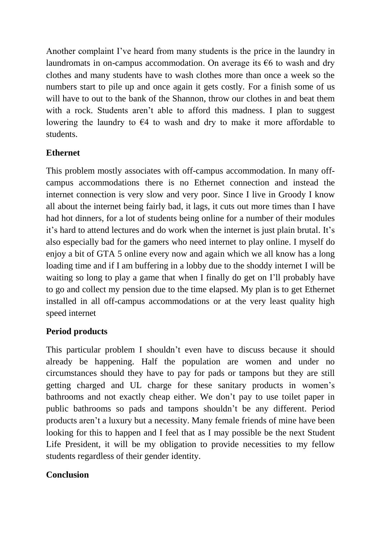Another complaint I've heard from many students is the price in the laundry in laundromats in on-campus accommodation. On average its  $\epsilon$ 6 to wash and dry clothes and many students have to wash clothes more than once a week so the numbers start to pile up and once again it gets costly. For a finish some of us will have to out to the bank of the Shannon, throw our clothes in and beat them with a rock. Students aren't able to afford this madness. I plan to suggest lowering the laundry to  $\epsilon$ 4 to wash and dry to make it more affordable to students.

## **Ethernet**

This problem mostly associates with off-campus accommodation. In many offcampus accommodations there is no Ethernet connection and instead the internet connection is very slow and very poor. Since I live in Groody I know all about the internet being fairly bad, it lags, it cuts out more times than I have had hot dinners, for a lot of students being online for a number of their modules it's hard to attend lectures and do work when the internet is just plain brutal. It's also especially bad for the gamers who need internet to play online. I myself do enjoy a bit of GTA 5 online every now and again which we all know has a long loading time and if I am buffering in a lobby due to the shoddy internet I will be waiting so long to play a game that when I finally do get on I'll probably have to go and collect my pension due to the time elapsed. My plan is to get Ethernet installed in all off-campus accommodations or at the very least quality high speed internet

### **Period products**

This particular problem I shouldn't even have to discuss because it should already be happening. Half the population are women and under no circumstances should they have to pay for pads or tampons but they are still getting charged and UL charge for these sanitary products in women's bathrooms and not exactly cheap either. We don't pay to use toilet paper in public bathrooms so pads and tampons shouldn't be any different. Period products aren't a luxury but a necessity. Many female friends of mine have been looking for this to happen and I feel that as I may possible be the next Student Life President, it will be my obligation to provide necessities to my fellow students regardless of their gender identity.

### **Conclusion**